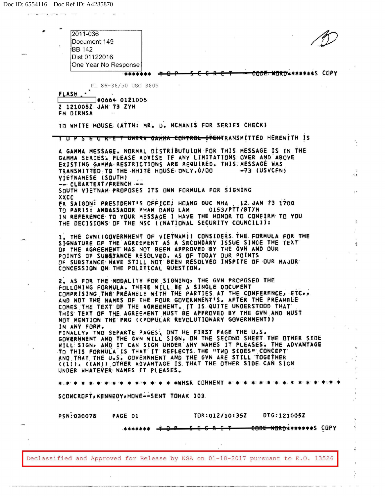

------------------------- - -- -

¢,

э.